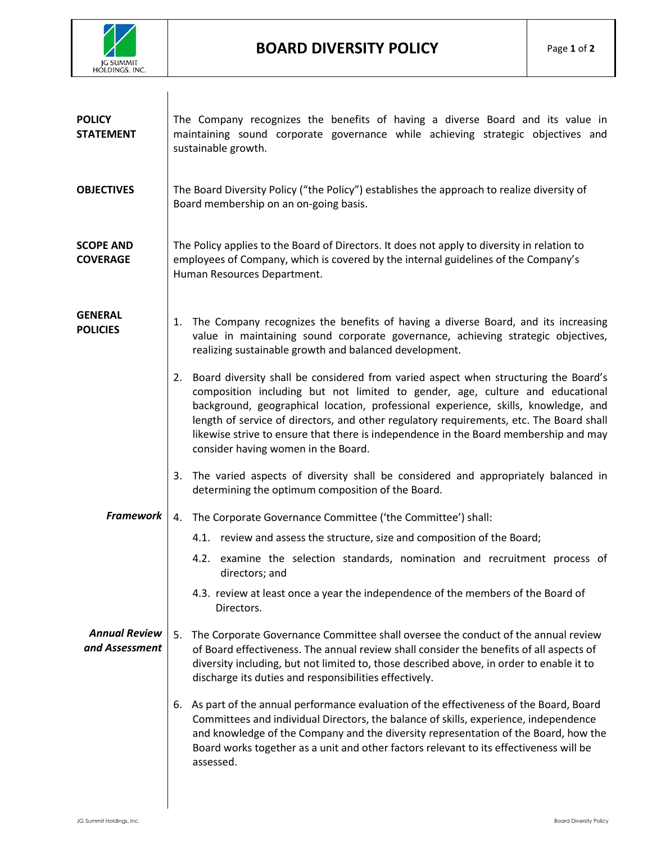

| <b>POLICY</b><br><b>STATEMENT</b>      | The Company recognizes the benefits of having a diverse Board and its value in<br>maintaining sound corporate governance while achieving strategic objectives and<br>sustainable growth.                                                                                                                                                                                                                                                                                                   |
|----------------------------------------|--------------------------------------------------------------------------------------------------------------------------------------------------------------------------------------------------------------------------------------------------------------------------------------------------------------------------------------------------------------------------------------------------------------------------------------------------------------------------------------------|
| <b>OBJECTIVES</b>                      | The Board Diversity Policy ("the Policy") establishes the approach to realize diversity of<br>Board membership on an on-going basis.                                                                                                                                                                                                                                                                                                                                                       |
| <b>SCOPE AND</b><br><b>COVERAGE</b>    | The Policy applies to the Board of Directors. It does not apply to diversity in relation to<br>employees of Company, which is covered by the internal guidelines of the Company's<br>Human Resources Department.                                                                                                                                                                                                                                                                           |
| <b>GENERAL</b><br><b>POLICIES</b>      | The Company recognizes the benefits of having a diverse Board, and its increasing<br>1.<br>value in maintaining sound corporate governance, achieving strategic objectives,<br>realizing sustainable growth and balanced development.                                                                                                                                                                                                                                                      |
|                                        | Board diversity shall be considered from varied aspect when structuring the Board's<br>2.<br>composition including but not limited to gender, age, culture and educational<br>background, geographical location, professional experience, skills, knowledge, and<br>length of service of directors, and other regulatory requirements, etc. The Board shall<br>likewise strive to ensure that there is independence in the Board membership and may<br>consider having women in the Board. |
|                                        | The varied aspects of diversity shall be considered and appropriately balanced in<br>3.<br>determining the optimum composition of the Board.                                                                                                                                                                                                                                                                                                                                               |
| <b>Framework</b>                       | The Corporate Governance Committee ('the Committee') shall:<br>4.                                                                                                                                                                                                                                                                                                                                                                                                                          |
|                                        | 4.1. review and assess the structure, size and composition of the Board;                                                                                                                                                                                                                                                                                                                                                                                                                   |
|                                        | 4.2. examine the selection standards, nomination and recruitment process of<br>directors; and                                                                                                                                                                                                                                                                                                                                                                                              |
|                                        | 4.3. review at least once a year the independence of the members of the Board of<br>Directors.                                                                                                                                                                                                                                                                                                                                                                                             |
| <b>Annual Review</b><br>and Assessment | The Corporate Governance Committee shall oversee the conduct of the annual review<br>5.<br>of Board effectiveness. The annual review shall consider the benefits of all aspects of<br>diversity including, but not limited to, those described above, in order to enable it to<br>discharge its duties and responsibilities effectively.                                                                                                                                                   |
|                                        | As part of the annual performance evaluation of the effectiveness of the Board, Board<br>6.<br>Committees and individual Directors, the balance of skills, experience, independence<br>and knowledge of the Company and the diversity representation of the Board, how the<br>Board works together as a unit and other factors relevant to its effectiveness will be<br>assessed.                                                                                                          |